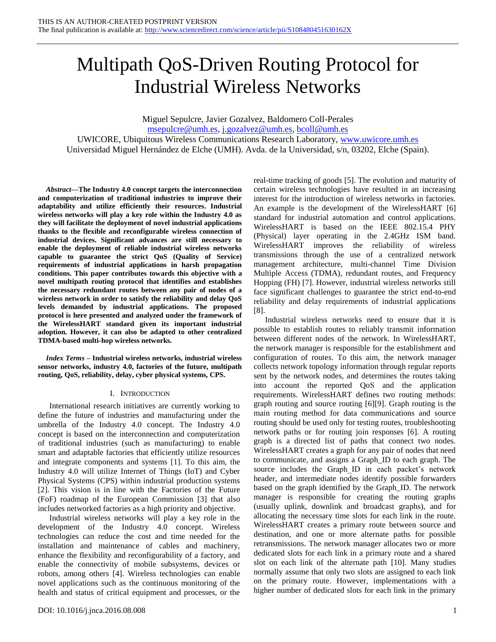# Multipath QoS-Driven Routing Protocol for Industrial Wireless Networks

Miguel Sepulcre, Javier Gozalvez, Baldomero Coll-Perales [msepulcre@umh.es,](mailto:msepulcre@umh.es) [j.gozalvez@umh.es,](mailto:j.gozalvez@umh.es) [bcoll@umh.es](mailto:bcoll@umh.es) UWICORE, Ubiquitous Wireless Communications Research Laboratory, [www.uwicore.umh.es](http://www.uwicore.umh.es/) Universidad Miguel Hernández de Elche (UMH). Avda. de la Universidad, s/n, 03202, Elche (Spain).

*Abstract***—The Industry 4.0 concept targets the interconnection and computerization of traditional industries to improve their adaptability and utilize efficiently their resources. Industrial wireless networks will play a key role within the Industry 4.0 as they will facilitate the deployment of novel industrial applications thanks to the flexible and reconfigurable wireless connection of industrial devices. Significant advances are still necessary to enable the deployment of reliable industrial wireless networks capable to guarantee the strict QoS (Quality of Service) requirements of industrial applications in harsh propagation conditions. This paper contributes towards this objective with a novel multipath routing protocol that identifies and establishes the necessary redundant routes between any pair of nodes of a wireless network in order to satisfy the reliability and delay QoS levels demanded by industrial applications. The proposed protocol is here presented and analyzed under the framework of the WirelessHART standard given its important industrial adoption. However, it can also be adapted to other centralized TDMA-based multi-hop wireless networks.**

*Index Terms* **– Industrial wireless networks, industrial wireless sensor networks, industry 4.0, factories of the future, multipath routing, QoS, reliability, delay, cyber physical systems, CPS.**

# I. INTRODUCTION

International research initiatives are currently working to define the future of industries and manufacturing under the umbrella of the Industry 4.0 concept. The Industry 4.0 concept is based on the interconnection and computerization of traditional industries (such as manufacturing) to enable smart and adaptable factories that efficiently utilize resources and integrate components and systems [\[1\].](#page-11-0) To this aim, the Industry 4.0 will utilize Internet of Things (IoT) and Cyber Physical Systems (CPS) within industrial production systems [\[2\].](#page-11-1) This vision is in line with the Factories of the Future (FoF) roadmap of the European Commission [\[3\]](#page-11-2) that also includes networked factories as a high priority and objective.

Industrial wireless networks will play a key role in the development of the Industry 4.0 concept. Wireless technologies can reduce the cost and time needed for the installation and maintenance of cables and machinery, enhance the flexibility and reconfigurability of a factory, and enable the connectivity of mobile subsystems, devices or robots, among others [\[4\].](#page-11-3) Wireless technologies can enable novel applications such as the continuous monitoring of the health and status of critical equipment and processes, or the

real-time tracking of goods [\[5\].](#page-11-4) The evolution and maturity of certain wireless technologies have resulted in an increasing interest for the introduction of wireless networks in factories. An example is the development of the WirelessHART [\[6\]](#page-11-5) standard for industrial automation and control applications. WirelessHART is based on the IEEE 802.15.4 PHY (Physical) layer operating in the 2.4GHz ISM band. WirelessHART improves the reliability of wireless transmissions through the use of a centralized network management architecture, multi-channel Time Division Multiple Access (TDMA), redundant routes, and Frequency Hopping (FH) [\[7\].](#page-11-6) However, industrial wireless networks still face significant challenges to guarantee the strict end-to-end reliability and delay requirements of industrial applications [\[8\].](#page-11-7)

Industrial wireless networks need to ensure that it is possible to establish routes to reliably transmit information between different nodes of the network. In WirelessHART, the network manager is responsible for the establishment and configuration of routes. To this aim, the network manager collects network topology information through regular reports sent by the network nodes, and determines the routes taking into account the reported QoS and the application requirements. WirelessHART defines two routing methods: graph routing and source routing [\[6\]\[9\].](#page-11-5) Graph routing is the main routing method for data communications and source routing should be used only for testing routes, troubleshooting network paths or for routing join responses [\[6\].](#page-11-5) A routing graph is a directed list of paths that connect two nodes. WirelessHART creates a graph for any pair of nodes that need to communicate, and assigns a Graph\_ID to each graph. The source includes the Graph ID in each packet's network header, and intermediate nodes identify possible forwarders based on the graph identified by the Graph\_ID. The network manager is responsible for creating the routing graphs (usually uplink, downlink and broadcast graphs), and for allocating the necessary time slots for each link in the route. WirelessHART creates a primary route between source and destination, and one or more alternate paths for possible retransmissions. The network manager allocates two or more dedicated slots for each link in a primary route and a shared slot on each link of the alternate path [\[10\].](#page-11-8) Many studies normally assume that only two slots are assigned to each link on the primary route. However, implementations with a higher number of dedicated slots for each link in the primary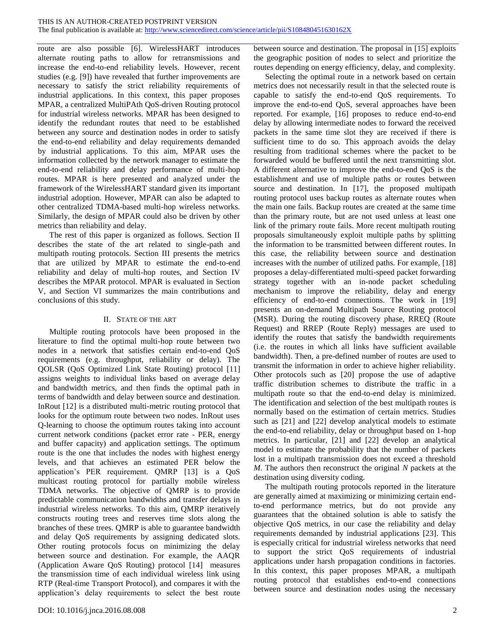route are also possible [\[6\].](#page-11-5) WirelessHART introduces alternate routing paths to allow for retransmissions and increase the end-to-end reliability levels. However, recent studies (e.g. [\[9\]\)](#page-11-9) have revealed that further improvements are necessary to satisfy the strict reliability requirements of industrial applications. In this context, this paper proposes MPAR, a centralized MultiPAth QoS-driven Routing protocol for industrial wireless networks. MPAR has been designed to identify the redundant routes that need to be established between any source and destination nodes in order to satisfy the end-to-end reliability and delay requirements demanded by industrial applications. To this aim, MPAR uses the information collected by the network manager to estimate the end-to-end reliability and delay performance of multi-hop routes. MPAR is here presented and analyzed under the framework of the WirelessHART standard given its important industrial adoption. However, MPAR can also be adapted to other centralized TDMA-based multi-hop wireless networks. Similarly, the design of MPAR could also be driven by other metrics than reliability and delay.

The rest of this paper is organized as follows. Section II describes the state of the art related to single-path and multipath routing protocols. Section III presents the metrics that are utilized by MPAR to estimate the end-to-end reliability and delay of multi-hop routes, and Section IV describes the MPAR protocol. MPAR is evaluated in Section V, and Section VI summarizes the main contributions and conclusions of this study.

#### II. STATE OF THE ART

Multiple routing protocols have been proposed in the literature to find the optimal multi-hop route between two nodes in a network that satisfies certain end-to-end QoS requirements (e.g. throughput, reliability or delay). The QOLSR (QoS Optimized Link State Routing) protocol [\[11\]](#page-11-10) assigns weights to individual links based on average delay and bandwidth metrics, and then finds the optimal path in terms of bandwidth and delay between source and destination. InRout [\[12\]](#page-11-11) is a distributed multi-metric routing protocol that looks for the optimum route between two nodes. InRout uses Q-learning to choose the optimum routes taking into account current network conditions (packet error rate - PER, energy and buffer capacity) and application settings. The optimum route is the one that includes the nodes with highest energy levels, and that achieves an estimated PER below the application's PER requirement. QMRP [\[13\]](#page-11-12) is a QoS multicast routing protocol for partially mobile wireless TDMA networks. The objective of QMRP is to provide predictable communication bandwidths and transfer delays in industrial wireless networks. To this aim, QMRP iteratively constructs routing trees and reserves time slots along the branches of these trees. QMRP is able to guarantee bandwidth and delay QoS requirements by assigning dedicated slots. Other routing protocols focus on minimizing the delay between source and destination. For example, the AAQR (Application Aware QoS Routing) protocol [\[14\]](#page-11-13) measures the transmission time of each individual wireless link using RTP (Real-time Transport Protocol), and compares it with the application's delay requirements to select the best route between source and destination. The proposal in [\[15\]](#page-11-14) exploits the geographic position of nodes to select and prioritize the routes depending on energy efficiency, delay, and complexity.

Selecting the optimal route in a network based on certain metrics does not necessarily result in that the selected route is capable to satisfy the end-to-end QoS requirements. To improve the end-to-end QoS, several approaches have been reported. For example, [\[16\]](#page-11-15) proposes to reduce end-to-end delay by allowing intermediate nodes to forward the received packets in the same time slot they are received if there is sufficient time to do so. This approach avoids the delay resulting from traditional schemes where the packet to be forwarded would be buffered until the next transmitting slot. A different alternative to improve the end-to-end QoS is the establishment and use of multiple paths or routes between source and destination. In [\[17\],](#page-11-16) the proposed multipath routing protocol uses backup routes as alternate routes when the main one fails. Backup routes are created at the same time than the primary route, but are not used unless at least one link of the primary route fails. More recent multipath routing proposals simultaneously exploit multiple paths by splitting the information to be transmitted between different routes. In this case, the reliability between source and destination increases with the number of utilized paths. For example, [\[18\]](#page-11-17) proposes a delay-differentiated multi-speed packet forwarding strategy together with an in-node packet scheduling mechanism to improve the reliability, delay and energy efficiency of end-to-end connections. The work in [\[19\]](#page-12-0) presents an on-demand Multipath Source Routing protocol (MSR). During the routing discovery phase, RREQ (Route Request) and RREP (Route Reply) messages are used to identify the routes that satisfy the bandwidth requirements (i.e. the routes in which all links have sufficient available bandwidth). Then, a pre-defined number of routes are used to transmit the information in order to achieve higher reliability. Other protocols such as [\[20\]](#page-12-1) propose the use of adaptive traffic distribution schemes to distribute the traffic in a multipath route so that the end-to-end delay is minimized. The identification and selection of the best multipath routes is normally based on the estimation of certain metrics. Studies such as [\[21\]](#page-12-2) and [\[22\]](#page-12-3) develop analytical models to estimate the end-to-end reliability, delay or throughput based on 1-hop metrics. In particular, [\[21\]](#page-12-2) and [\[22\]](#page-12-3) develop an analytical model to estimate the probability that the number of packets lost in a multipath transmission does not exceed a threshold *M*. The authors then reconstruct the original *N* packets at the destination using diversity coding.

The multipath routing protocols reported in the literature are generally aimed at maximizing or minimizing certain endto-end performance metrics, but do not provide any guarantees that the obtained solution is able to satisfy the objective QoS metrics, in our case the reliability and delay requirements demanded by industrial applications [\[23\].](#page-12-4) This is especially critical for industrial wireless networks that need to support the strict QoS requirements of industrial applications under harsh propagation conditions in factories. In this context, this paper proposes MPAR, a multipath routing protocol that establishes end-to-end connections between source and destination nodes using the necessary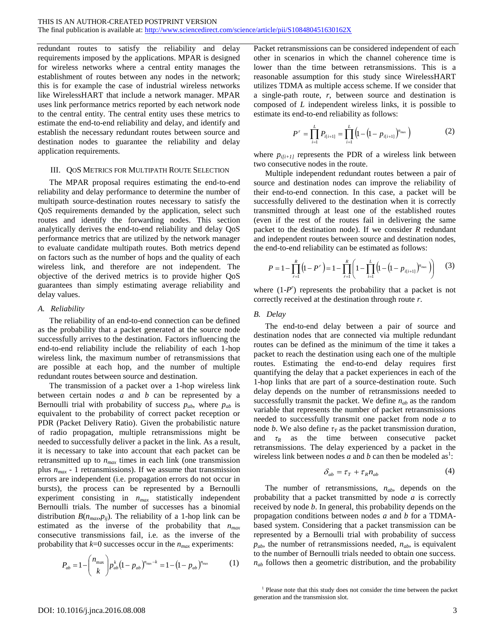redundant routes to satisfy the reliability and delay requirements imposed by the applications. MPAR is designed for wireless networks where a central entity manages the establishment of routes between any nodes in the network; this is for example the case of industrial wireless networks like WirelessHART that include a network manager. MPAR uses link performance metrics reported by each network node to the central entity. The central entity uses these metrics to estimate the end-to-end reliability and delay, and identify and establish the necessary redundant routes between source and destination nodes to guarantee the reliability and delay application requirements.

#### <span id="page-2-2"></span>III. QOS METRICS FOR MULTIPATH ROUTE SELECTION

The MPAR proposal requires estimating the end-to-end reliability and delay performance to determine the number of multipath source-destination routes necessary to satisfy the QoS requirements demanded by the application, select such routes and identify the forwarding nodes. This section analytically derives the end-to-end reliability and delay QoS performance metrics that are utilized by the network manager to evaluate candidate multipath routes. Both metrics depend on factors such as the number of hops and the quality of each wireless link, and therefore are not independent. The objective of the derived metrics is to provide higher QoS guarantees than simply estimating average reliability and delay values.

## <span id="page-2-0"></span>*A. Reliability*

The reliability of an end-to-end connection can be defined as the probability that a packet generated at the source node successfully arrives to the destination. Factors influencing the end-to-end reliability include the reliability of each 1-hop wireless link, the maximum number of retransmissions that are possible at each hop, and the number of multiple redundant routes between source and destination.

The transmission of a packet over a 1-hop wireless link between certain nodes *a* and *b* can be represented by a Bernoulli trial with probability of success  $p_{ab}$ , where  $p_{ab}$  is equivalent to the probability of correct packet reception or PDR (Packet Delivery Ratio). Given the probabilistic nature of radio propagation, multiple retransmissions might be needed to successfully deliver a packet in the link. As a result, it is necessary to take into account that each packet can be retransmitted up to *nmax* times in each link (one transmission plus  $n_{max}$  - 1 retransmissions). If we assume that transmission errors are independent (i.e. propagation errors do not occur in bursts), the process can be represented by a Bernoulli experiment consisting in *nmax* statistically independent Bernoulli trials. The number of successes has a binomial distribution  $B(n_{max}p_{ij})$ . The reliability of a 1-hop link can be estimated as the inverse of the probability that *nmax* consecutive transmissions fail, i.e. as the inverse of the probability that  $k=0$  successes occur in the  $n_{max}$  experiments:

$$
P_{ab} = 1 - \binom{n_{\text{max}}}{k} p_{ab}^k (1 - p_{ab})^{n_{\text{max}} - k} = 1 - (1 - p_{ab})^{n_{\text{max}}} \tag{1}
$$

Packet retransmissions can be considered independent of each other in scenarios in which the channel coherence time is lower than the time between retransmissions. This is a reasonable assumption for this study since WirelessHART utilizes TDMA as multiple access scheme. If we consider that a single-path route, *r*, between source and destination is composed of *L* independent wireless links, it is possible to estimate its end-to-end reliability as follows:

$$
P^r = \prod_{i=1}^L P_{i[i+1]} = \prod_{i=1}^L \left( 1 - \left( 1 - p_{i[i+1]} \right)^{n_{\text{max}}} \right) \tag{2}
$$

where  $p_{i[i+1]}$  represents the PDR of a wireless link between two consecutive nodes in the route.

Multiple independent redundant routes between a pair of source and destination nodes can improve the reliability of their end-to-end connection. In this case, a packet will be successfully delivered to the destination when it is correctly transmitted through at least one of the established routes (even if the rest of the routes fail in delivering the same packet to the destination node). If we consider *R* redundant and independent routes between source and destination nodes, the end-to-end reliability can be estimated as follows:

$$
P = 1 - \prod_{r=1}^{R} (1 - P^r) = 1 - \prod_{r=1}^{R} \left( 1 - \prod_{i=1}^{L} \left( 1 - \left( 1 - p_{i(i+1)} \right)^{n_{\text{max}}} \right) \right) \tag{3}
$$

where  $(1-P^r)$  represents the probability that a packet is not correctly received at the destination through route *r*.

## <span id="page-2-1"></span>*B. Delay*

The end-to-end delay between a pair of source and destination nodes that are connected via multiple redundant routes can be defined as the minimum of the time it takes a packet to reach the destination using each one of the multiple routes. Estimating the end-to-end delay requires first quantifying the delay that a packet experiences in each of the 1-hop links that are part of a source-destination route. Such delay depends on the number of retransmissions needed to successfully transmit the packet. We define *nab* as the random variable that represents the number of packet retransmissions needed to successfully transmit one packet from node *a* to node *b*. We also define  $\tau_T$  as the packet transmission duration, and  $\tau_R$  as the time between consecutive packet retransmissions. The delay experienced by a packet in the wireless link between nodes  $\overline{a}$  and  $\overline{b}$  can then be modeled as<sup>1</sup>:

$$
\delta_{ab} = \tau_T + \tau_R n_{ab} \tag{4}
$$

The number of retransmissions, *nab*, depends on the probability that a packet transmitted by node *a* is correctly received by node *b*. In general, this probability depends on the propagation conditions between nodes *a* and *b* for a TDMAbased system. Considering that a packet transmission can be represented by a Bernoulli trial with probability of success  $p_{ab}$ , the number of retransmissions needed,  $n_{ab}$ , is equivalent to the number of Bernoulli trials needed to obtain one success.  $n_{ab}$  follows then a geometric distribution, and the probability

<sup>&</sup>lt;sup>1</sup> Please note that this study does not consider the time between the packet generation and the transmission slot.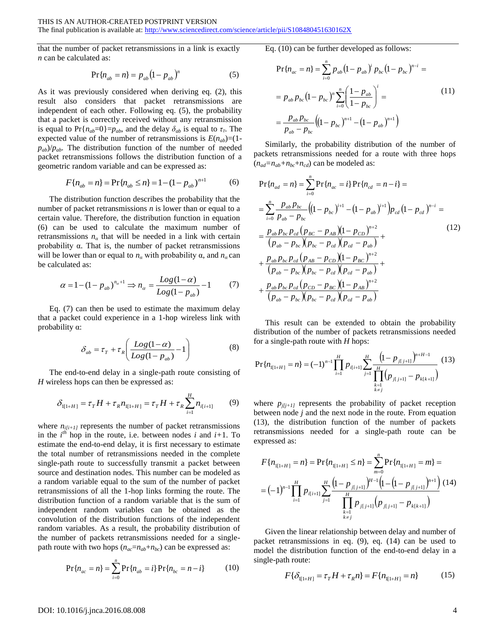that the number of packet retransmissions in a link is exactly *n* can be calculated as:

$$
Pr{n_{ab} = n} = p_{ab} (1 - p_{ab})^n
$$
 (5)

As it was previously considered when deriving eq. (2), this result also considers that packet retransmissions are independent of each other. Following eq. (5), the probability that a packet is correctly received without any retransmission is equal to  $Pr{n_{ab}=0}$ }= $p_{ab}$ , and the delay  $\delta_{ab}$  is equal to  $\tau_T$ . The expected value of the number of retransmissions is  $E(n_{ab}) = (1$  $p_{ab}/p_{ab}$ . The distribution function of the number of needed packet retransmissions follows the distribution function of a geometric random variable and can be expressed as:

$$
F\{n_{ab} = n\} = \Pr\{n_{ab} \le n\} = 1 - (1 - p_{ab})^{n+1}
$$
 (6)

The distribution function describes the probability that the number of packet retransmissions *n* is lower than or equal to a certain value. Therefore, the distribution function in equation (6) can be used to calculate the maximum number of retransmissions  $n_{\alpha}$  that will be needed in a link with certain probability α. That is, the number of packet retransmissions will be lower than or equal to  $n<sub>a</sub>$  with probability α, and  $n<sub>a</sub>$  can be calculated as:

$$
\alpha = 1 - (1 - p_{ab})^{n_a + 1} \Rightarrow n_a = \frac{Log(1 - \alpha)}{Log(1 - p_{ab})} - 1 \tag{7}
$$

Eq. (7) can then be used to estimate the maximum delay that a packet could experience in a 1-hop wireless link with probability α:

$$
\delta_{ab} = \tau_T + \tau_R \left( \frac{Log(1-\alpha)}{Log(1-p_{ab})} - 1 \right)
$$
 (8)

The end-to-end delay in a single-path route consisting of *H* wireless hops can then be expressed as:

$$
\delta_{I[1+H]} = \tau_{T} H + \tau_{R} n_{I[1+H]} = \tau_{T} H + \tau_{R} \sum_{i=1}^{H} n_{i[i+1]} \tag{9}
$$

where  $n_{i[i+1]}$  represents the number of packet retransmissions in the  $i^{th}$  hop in the route, i.e. between nodes *i* and  $i+1$ . To estimate the end-to-end delay, it is first necessary to estimate the total number of retransmissions needed in the complete single-path route to successfully transmit a packet between source and destination nodes. This number can be modeled as a random variable equal to the sum of the number of packet retransmissions of all the 1-hop links forming the route. The distribution function of a random variable that is the sum of independent random variables can be obtained as the convolution of the distribution functions of the independent random variables. As a result, the probability distribution of the number of packets retransmissions needed for a singlepath route with two hops  $(n_{ac}=n_{ab}+n_{bc})$  can be expressed as:

$$
\Pr\{n_{ac} = n\} = \sum_{i=0}^{n} \Pr\{n_{ab} = i\} \Pr\{n_{bc} = n - i\}
$$
 (10)

Eq. (10) can be further developed as follows:

$$
\Pr\{n_{ac} = n\} = \sum_{i=0}^{n} p_{ab} (1 - p_{ab})^i p_{bc} (1 - p_{bc})^{n-i} =
$$
\n
$$
= p_{ab} p_{bc} (1 - p_{bc})^n \sum_{i=0}^{n} \left(\frac{1 - p_{ab}}{1 - p_{bc}}\right)^i =
$$
\n
$$
= \frac{p_{ab} p_{bc}}{p_{ab} - p_{bc}} \left((1 - p_{bc})^{n+1} - (1 - p_{ab})^{n+1}\right)
$$
\n(11)

Similarly, the probability distribution of the number of packets retransmissions needed for a route with three hops  $(n_{ad}=n_{ab}+n_{bc}+n_{cd})$  can be modeled as:

$$
Pr{n_{ad} = n} = \sum_{i=0}^{n} Pr{n_{ac} = i} Pr{n_{cd} = n - i} =
$$
\n
$$
= \sum_{i=0}^{n} \frac{p_{ab}p_{bc}}{p_{ab} - p_{bc}} ((1 - p_{bc})^{i+1} - (1 - p_{ab})^{i+1})p_{cd} (1 - p_{cd})^{n-i} =
$$
\n
$$
= \frac{p_{ab}p_{bc}p_{cd}(p_{BC} - p_{AB})(1 - p_{CD})^{n+2}}{(p_{ab} - p_{bc})(p_{bc} - p_{cd})(p_{cd} - p_{ab})} +
$$
\n
$$
+ \frac{p_{ab}p_{bc}p_{cd}(p_{AB} - p_{CD})(1 - p_{BC})^{n+2}}{(p_{ab} - p_{bc})(p_{bc} - p_{cd})(p_{cd} - p_{ab})} +
$$
\n
$$
+ \frac{p_{ab}p_{bc}p_{cd}(p_{CD} - p_{BC})(1 - p_{AB})^{n+2}}{(p_{ab} - p_{bc})(p_{bc} - p_{cd})(p_{cd} - p_{ab})}
$$
\n(12)

This result can be extended to obtain the probability distribution of the number of packets retransmissions needed for a single-path route with *H* hops:

$$
\Pr\{n_{\text{II}+H\}} = n\} = (-1)^{n-1} \prod_{i=1}^{H} p_{i[i+1]} \sum_{j=1}^{H} \frac{\left(1 - p_{j[j+1]}\right)^{n+H-1}}{\prod_{\substack{k=1 \ k \neq j}}^{H} \left(p_{j[j+1]} - p_{k[k+1]}\right)} \tag{13}
$$

where  $p_{j(i+1)}$  represents the probability of packet reception between node *j* and the next node in the route. From equation (13), the distribution function of the number of packets retransmissions needed for a single-path route can be expressed as:

$$
F\{n_{I[1+H]} = n\} = \Pr\{n_{I[1+H]} \le n\} = \sum_{m=0}^{n} \Pr\{n_{I[1+H]} = m\} =
$$
  
=  $(-1)^{n-1} \prod_{i=1}^{H} p_{i[i+1]} \sum_{j=1}^{H} \frac{\left(1 - p_{j[j+1]}\right)^{H-1} \left(1 - \left(1 - p_{j[j+1]}\right)^{n+1}\right)}{\prod_{\substack{k=1 \ k \ne j}}^{H} p_{j[j+1]} \left(p_{j[j+1]} - p_{k[k+1]}\right)}$  (14)

Given the linear relationship between delay and number of packet retransmissions in eq. (9), eq. (14) can be used to model the distribution function of the end-to-end delay in a single-path route:

$$
F\{\delta_{\mathbf{I}[1+H]} = \tau_{T}H + \tau_{R}n\} = F\{n_{\mathbf{I}[1+H]} = n\}
$$
 (15)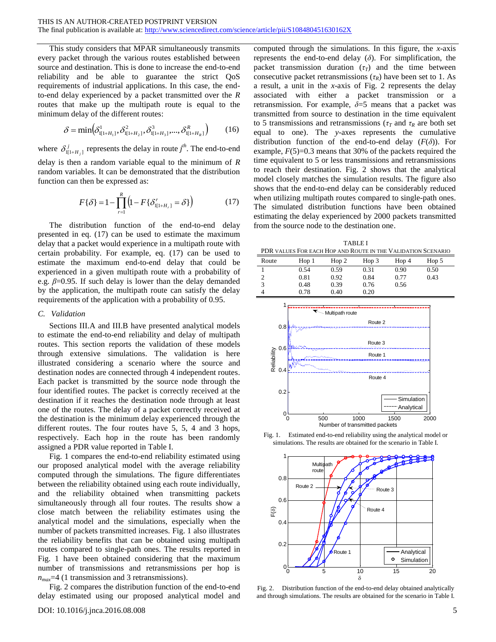This study considers that MPAR simultaneously transmits every packet through the various routes established between source and destination. This is done to increase the end-to-end reliability and be able to guarantee the strict QoS requirements of industrial applications. In this case, the endto-end delay experienced by a packet transmitted over the *R* routes that make up the multipath route is equal to the minimum delay of the different routes:

$$
\delta = \min(\delta^1_{I[1+H_1]}, \delta^2_{I[1+H_2]}, \delta^3_{I[1+H_3]}, ..., \delta^R_{I[1+H_R]})
$$
(16)

where  $\delta_{I[1+H_j]}^j$  represents the delay in route  $j^{\text{th}}$ . The end-to-end delay is then a random variable equal to the minimum of *R* random variables. It can be demonstrated that the distribution function can then be expressed as:

$$
F\{\delta\} = 1 - \prod_{r=1}^{R} \left(1 - F\{\delta_{I[1+H_r]}^r = \delta\}\right)
$$
 (17)

The distribution function of the end-to-end delay presented in eq. (17) can be used to estimate the maximum delay that a packet would experience in a multipath route with certain probability. For example, eq. (17) can be used to estimate the maximum end-to-end delay that could be experienced in a given multipath route with a probability of e.g. *β*=0.95. If such delay is lower than the delay demanded by the application, the multipath route can satisfy the delay requirements of the application with a probability of 0.95.

#### *C. Validation*

Sections [III.A](#page-2-0) and [III.B](#page-2-1) have presented analytical models to estimate the end-to-end reliability and delay of multipath routes. This section reports the validation of these models through extensive simulations. The validation is here illustrated considering a scenario where the source and destination nodes are connected through 4 independent routes. Each packet is transmitted by the source node through the four identified routes. The packet is correctly received at the destination if it reaches the destination node through at least one of the routes. The delay of a packet correctly received at the destination is the minimum delay experienced through the different routes. The four routes have 5, 5, 4 and 3 hops, respectively. Each hop in the route has been randomly assigned a PDR value reported in Table I.

[Fig. 1](#page-4-0) compares the end-to-end reliability estimated using our proposed analytical model with the average reliability computed through the simulations. The figure differentiates between the reliability obtained using each route individually, and the reliability obtained when transmitting packets simultaneously through all four routes. The results show a close match between the reliability estimates using the analytical model and the simulations, especially when the number of packets transmitted increases. [Fig. 1](#page-4-0) also illustrates the reliability benefits that can be obtained using multipath routes compared to single-path ones. The results reported in [Fig. 1](#page-4-0) have been obtained considering that the maximum number of transmissions and retransmissions per hop is *nmax*=4 (1 transmission and 3 retransmissions).

[Fig. 2](#page-4-1) compares the distribution function of the end-to-end delay estimated using our proposed analytical model and

computed through the simulations. In this figure, the *x*-axis represents the end-to-end delay (*δ*). For simplification, the packet transmission duration  $(\tau_T)$  and the time between consecutive packet retransmissions  $(\tau_R)$  have been set to 1. As a result, a unit in the *x*-axis of Fig. 2 represents the delay associated with either a packet transmission or a retransmission. For example,  $\delta = 5$  means that a packet was transmitted from source to destination in the time equivalent to 5 transmissions and retransmissions ( $\tau_T$  and  $\tau_R$  are both set equal to one). The *y*-axes represents the cumulative distribution function of the end-to-end delay  $(F(\delta))$ . For example,  $F(5)=0.3$  means that 30% of the packets required the time equivalent to 5 or less transmissions and retransmissions to reach their destination. [Fig. 2](#page-4-1) shows that the analytical model closely matches the simulation results. The figure also shows that the end-to-end delay can be considerably reduced when utilizing multipath routes compared to single-path ones. The simulated distribution functions have been obtained estimating the delay experienced by 2000 packets transmitted from the source node to the destination one.

TABLE I PDR VALUES FOR EACH HOP AND ROUTE IN THE VALIDATION SCENARIO

| <u>I DIVATILOLDI ON LINGI INOI TIMD INOOTE IN TIIE TTIERITION DOLIMINO</u> |                  |       |       |       |       |  |  |
|----------------------------------------------------------------------------|------------------|-------|-------|-------|-------|--|--|
| Route                                                                      | Hop <sub>1</sub> | Hop 2 | Hop 3 | Hop 4 | Hop 5 |  |  |
|                                                                            | 0.54             | 0.59  | 0.31  | 0.90  | 0.50  |  |  |
|                                                                            | 0.81             | 0.92  | 0.84  | 0.77  | 0.43  |  |  |
|                                                                            | 0.48             | 0.39  | 0.76  | 0.56  |       |  |  |
|                                                                            | 0.78             | 0.40  | 0.20  |       |       |  |  |



<span id="page-4-0"></span>Fig. 1. Estimated end-to-end reliability using the analytical model or simulations. The results are obtained for the scenario in Table I.



<span id="page-4-1"></span>Fig. 2. Distribution function of the end-to-end delay obtained analytically and through simulations. The results are obtained for the scenario in Table I.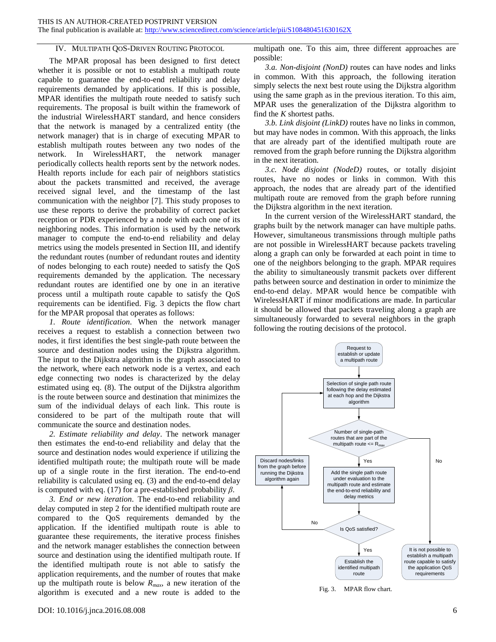## IV. MULTIPATH QOS-DRIVEN ROUTING PROTOCOL

The MPAR proposal has been designed to first detect whether it is possible or not to establish a multipath route capable to guarantee the end-to-end reliability and delay requirements demanded by applications. If this is possible, MPAR identifies the multipath route needed to satisfy such requirements. The proposal is built within the framework of the industrial WirelessHART standard, and hence considers that the network is managed by a centralized entity (the network manager) that is in charge of executing MPAR to establish multipath routes between any two nodes of the network. In WirelessHART, the network manager periodically collects health reports sent by the network nodes. Health reports include for each pair of neighbors statistics about the packets transmitted and received, the average received signal level, and the timestamp of the last communication with the neighbor [\[7\].](#page-11-6) This study proposes to use these reports to derive the probability of correct packet reception or PDR experienced by a node with each one of its neighboring nodes. This information is used by the network manager to compute the end-to-end reliability and delay metrics using the models presented in Section [III,](#page-2-2) and identify the redundant routes (number of redundant routes and identity of nodes belonging to each route) needed to satisfy the QoS requirements demanded by the application. The necessary redundant routes are identified one by one in an iterative process until a multipath route capable to satisfy the QoS requirements can be identified. [Fig. 3](#page-5-0) depicts the flow chart for the MPAR proposal that operates as follows:

*1. Route identification*. When the network manager receives a request to establish a connection between two nodes, it first identifies the best single-path route between the source and destination nodes using the Dijkstra algorithm. The input to the Dijkstra algorithm is the graph associated to the network, where each network node is a vertex, and each edge connecting two nodes is characterized by the delay estimated using eq. (8). The output of the Dijkstra algorithm is the route between source and destination that minimizes the sum of the individual delays of each link. This route is considered to be part of the multipath route that will communicate the source and destination nodes.

*2. Estimate reliability and delay*. The network manager then estimates the end-to-end reliability and delay that the source and destination nodes would experience if utilizing the identified multipath route; the multipath route will be made up of a single route in the first iteration. The end-to-end reliability is calculated using eq. (3) and the end-to-end delay is computed with eq. (17) for a pre-established probability *β*.

*3. End or new iteration*. The end-to-end reliability and delay computed in step 2 for the identified multipath route are compared to the QoS requirements demanded by the application. If the identified multipath route is able to guarantee these requirements, the iterative process finishes and the network manager establishes the connection between source and destination using the identified multipath route. If the identified multipath route is not able to satisfy the application requirements, and the number of routes that make up the multipath route is below *Rmax*, a new iteration of the algorithm is executed and a new route is added to the multipath one. To this aim, three different approaches are possible:

*3.a. Non-disjoint (NonD)* routes can have nodes and links in common. With this approach, the following iteration simply selects the next best route using the Dijkstra algorithm using the same graph as in the previous iteration. To this aim, MPAR uses the generalization of the Dijkstra algorithm to find the *K* shortest paths.

*3.b. Link disjoint (LinkD)* routes have no links in common, but may have nodes in common. With this approach, the links that are already part of the identified multipath route are removed from the graph before running the Dijkstra algorithm in the next iteration.

*3.c. Node disjoint (NodeD)* routes, or totally disjoint routes, have no nodes or links in common. With this approach, the nodes that are already part of the identified multipath route are removed from the graph before running the Dijkstra algorithm in the next iteration.

In the current version of the WirelessHART standard, the graphs built by the network manager can have multiple paths. However, simultaneous transmissions through multiple paths are not possible in WirelessHART because packets traveling along a graph can only be forwarded at each point in time to one of the neighbors belonging to the graph. MPAR requires the ability to simultaneously transmit packets over different paths between source and destination in order to minimize the end-to-end delay. MPAR would hence be compatible with WirelessHART if minor modifications are made. In particular it should be allowed that packets traveling along a graph are simultaneously forwarded to several neighbors in the graph following the routing decisions of the protocol.



<span id="page-5-0"></span>Fig. 3. MPAR flow chart.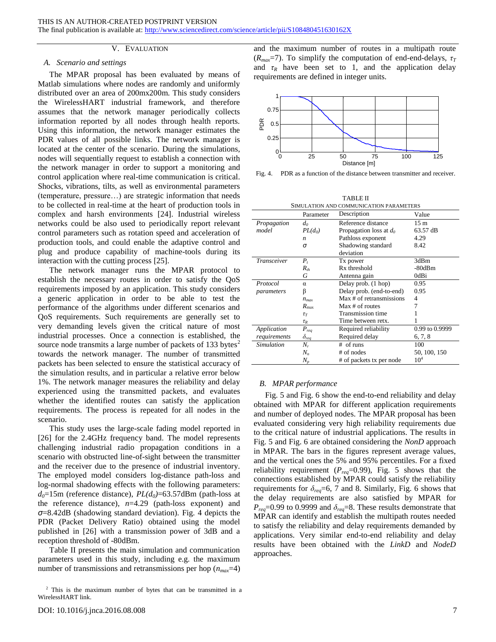#### V. EVALUATION

#### *A. Scenario and settings*

The MPAR proposal has been evaluated by means of Matlab simulations where nodes are randomly and uniformly distributed over an area of 200mx200m. This study considers the WirelessHART industrial framework, and therefore assumes that the network manager periodically collects information reported by all nodes through health reports. Using this information, the network manager estimates the PDR values of all possible links. The network manager is located at the center of the scenario. During the simulations, nodes will sequentially request to establish a connection with the network manager in order to support a monitoring and control application where real-time communication is critical. Shocks, vibrations, tilts, as well as environmental parameters (temperature, pressure…) are strategic information that needs to be collected in real-time at the heart of production tools in complex and harsh environments [\[24\].](#page-12-5) Industrial wireless networks could be also used to periodically report relevant control parameters such as rotation speed and acceleration of production tools, and could enable the adaptive control and plug and produce capability of machine-tools during its interaction with the cutting process [\[25\].](#page-12-6)

The network manager runs the MPAR protocol to establish the necessary routes in order to satisfy the QoS requirements imposed by an application. This study considers a generic application in order to be able to test the performance of the algorithms under different scenarios and QoS requirements. Such requirements are generally set to very demanding levels given the critical nature of most industrial processes. Once a connection is established, the source node transmits a large number of packets of 133 bytes $2$ towards the network manager. The number of transmitted packets has been selected to ensure the statistical accuracy of the simulation results, and in particular a relative error below 1%. The network manager measures the reliability and delay experienced using the transmitted packets, and evaluates whether the identified routes can satisfy the application requirements. The process is repeated for all nodes in the scenario.

This study uses the large-scale fading model reported in [\[26\]](#page-12-7) for the 2.4GHz frequency band. The model represents challenging industrial radio propagation conditions in a scenario with obstructed line-of-sight between the transmitter and the receiver due to the presence of industrial inventory. The employed model considers log-distance path-loss and log-normal shadowing effects with the following parameters:  $d_0 = 15$ m (reference distance),  $PL(d_0) = 63.57$ dBm (path-loss at the reference distance), *n*=4.29 (path-loss exponent) and *σ*=8.42dB (shadowing standard deviation). [Fig. 4](#page-6-0) depicts the PDR (Packet Delivery Ratio) obtained using the model published in [\[26\]](#page-12-7) with a transmission power of 3dB and a reception threshold of -80dBm.

Table II presents the main simulation and communication parameters used in this study, including e.g. the maximum number of transmissions and retransmissions per hop (*nmax*=4) and the maximum number of routes in a multipath route  $(R_{max}=7)$ . To simplify the computation of end-end-delays,  $\tau_T$ and  $\tau_R$  have been set to 1, and the application delay requirements are defined in integer units.



<span id="page-6-0"></span>Fig. 4. PDR as a function of the distance between transmitter and receiver.

|                                         |                  | <b>TABLE II</b>           |                 |  |  |  |
|-----------------------------------------|------------------|---------------------------|-----------------|--|--|--|
| SIMULATION AND COMMUNICATION PARAMETERS |                  |                           |                 |  |  |  |
|                                         | Parameter        | Description               | Value           |  |  |  |
| Propagation<br>$d_0$                    |                  | Reference distance        | 15 <sub>m</sub> |  |  |  |
| model                                   | $PL(d_0)$        | Propagation loss at $d_0$ | 63.57 dB        |  |  |  |
|                                         | $\boldsymbol{n}$ | Pathloss exponent         | 4.29            |  |  |  |
|                                         | σ                | Shadowing standard        | 8.42            |  |  |  |
|                                         |                  | deviation                 |                 |  |  |  |
| <b>Transceiver</b>                      | $P_{t}$          | Tx power                  | 3dBm            |  |  |  |
|                                         | $R_{th}$         | Rx threshold              | $-80dBm$        |  |  |  |
|                                         | G                | Antenna gain              | 0dBi            |  |  |  |
| Protocol                                | $\alpha$         | Delay prob. (1 hop)       | 0.95            |  |  |  |
| parameters                              | β                | Delay prob. (end-to-end)  | 0.95            |  |  |  |
|                                         | $n_{\text{max}}$ | Max # of retransmissions  | 4               |  |  |  |
|                                         | $R_{\rm max}$    | Max # of routes           | 7               |  |  |  |
|                                         | $\tau_T$         | Transmission time         |                 |  |  |  |
|                                         | $\tau_R$         | Time between retx.        |                 |  |  |  |
| Application                             | $P_{req}$        | Required reliability      | 0.99 to 0.9999  |  |  |  |
| requirements                            | $\delta_{req}$   | Required delay            | 6, 7, 8         |  |  |  |
| <b>Simulation</b>                       | $N_r$            | $#$ of runs               | 100             |  |  |  |
|                                         | $N_n$            | # of nodes                | 50, 100, 150    |  |  |  |
|                                         | $N_p$            | # of packets tx per node  | 10 <sup>4</sup> |  |  |  |

## *B. MPAR performance*

[Fig. 5](#page-7-0) and [Fig. 6](#page-7-1) show the end-to-end reliability and delay obtained with MPAR for different application requirements and number of deployed nodes. The MPAR proposal has been evaluated considering very high reliability requirements due to the critical nature of industrial applications. The results in [Fig. 5](#page-7-0) and [Fig. 6](#page-7-1) are obtained considering the *NonD* approach in MPAR. The bars in the figures represent average values, and the vertical ones the 5% and 95% percentiles. For a fixed reliability requirement  $(P_{req} = 0.99)$ , [Fig. 5](#page-7-0) shows that the connections established by MPAR could satisfy the reliability requirements for  $\delta_{req} = 6, 7$  and 8. Similarly, [Fig. 6](#page-7-1) shows that the delay requirements are also satisfied by MPAR for  $P_{req}$ =0.99 to 0.9999 and  $\delta_{req}$ =8. These results demonstrate that MPAR can identify and establish the multipath routes needed to satisfy the reliability and delay requirements demanded by applications. Very similar end-to-end reliability and delay results have been obtained with the *LinkD* and *NodeD* approaches.

<sup>2</sup> This is the maximum number of bytes that can be transmitted in a WirelessHART link.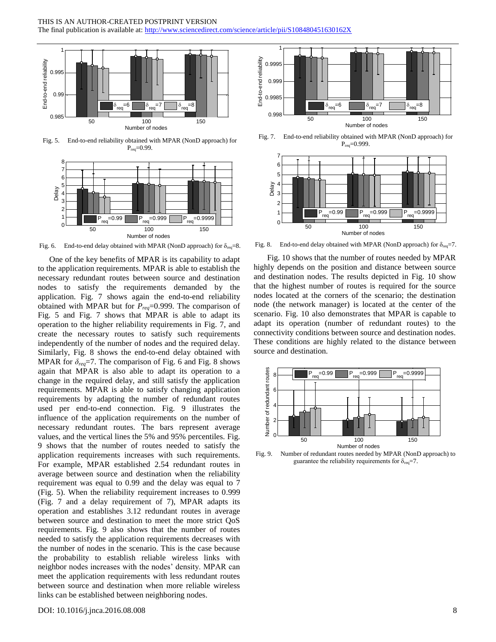## THIS IS AN AUTHOR-CREATED POSTPRINT VERSION

The final publication is available at: http://www.sciencedirect.com/science/article/pii/S108480451630162X



<span id="page-7-0"></span>Fig. 5. End-to-end reliability obtained with MPAR (NonD approach) for  $P_{req} = 0.99$ .



<span id="page-7-1"></span>Fig. 6. End-to-end delay obtained with MPAR (NonD approach) for  $\delta_{\text{req}} = 8$ .

One of the key benefits of MPAR is its capability to adapt to the application requirements. MPAR is able to establish the necessary redundant routes between source and destination nodes to satisfy the requirements demanded by the application. [Fig. 7](#page-7-2) shows again the end-to-end reliability obtained with MPAR but for *Preq*=0.999. The comparison of [Fig. 5](#page-7-0) and [Fig. 7](#page-7-2) shows that MPAR is able to adapt its operation to the higher reliability requirements in [Fig. 7,](#page-7-2) and create the necessary routes to satisfy such requirements independently of the number of nodes and the required delay. Similarly, [Fig. 8](#page-7-3) shows the end-to-end delay obtained with MPAR for  $\delta_{req}$ =7. The comparison of [Fig. 6](#page-7-1) and [Fig. 8](#page-7-3) shows again that MPAR is also able to adapt its operation to a change in the required delay, and still satisfy the application requirements. MPAR is able to satisfy changing application requirements by adapting the number of redundant routes used per end-to-end connection. [Fig. 9](#page-7-4) illustrates the influence of the application requirements on the number of necessary redundant routes. The bars represent average values, and the vertical lines the 5% and 95% percentiles. [Fig.](#page-7-4)  [9](#page-7-4) shows that the number of routes needed to satisfy the application requirements increases with such requirements. For example, MPAR established 2.54 redundant routes in average between source and destination when the reliability requirement was equal to 0.99 and the delay was equal to 7 [\(Fig. 5\)](#page-7-0). When the reliability requirement increases to 0.999 [\(Fig. 7](#page-7-2) and a delay requirement of 7), MPAR adapts its operation and establishes 3.12 redundant routes in average between source and destination to meet the more strict QoS requirements. [Fig. 9](#page-7-4) also shows that the number of routes needed to satisfy the application requirements decreases with the number of nodes in the scenario. This is the case because the probability to establish reliable wireless links with neighbor nodes increases with the nodes' density. MPAR can meet the application requirements with less redundant routes between source and destination when more reliable wireless links can be established between neighboring nodes.



<span id="page-7-2"></span>Fig. 7. End-to-end reliability obtained with MPAR (NonD approach) for  $P_{req} = 0.999$ .



<span id="page-7-3"></span>Fig. 8. End-to-end delay obtained with MPAR (NonD approach) for  $\delta_{\text{req}} = 7$ .

[Fig. 10](#page-8-0) shows that the number of routes needed by MPAR highly depends on the position and distance between source and destination nodes. The results depicted in [Fig. 10](#page-8-0) show that the highest number of routes is required for the source nodes located at the corners of the scenario; the destination node (the network manager) is located at the center of the scenario. [Fig. 10](#page-8-0) also demonstrates that MPAR is capable to adapt its operation (number of redundant routes) to the connectivity conditions between source and destination nodes. These conditions are highly related to the distance between source and destination.



<span id="page-7-4"></span>Fig. 9. Number of redundant routes needed by MPAR (NonD approach) to guarantee the reliability requirements for  $\delta_{\text{req}} = 7$ .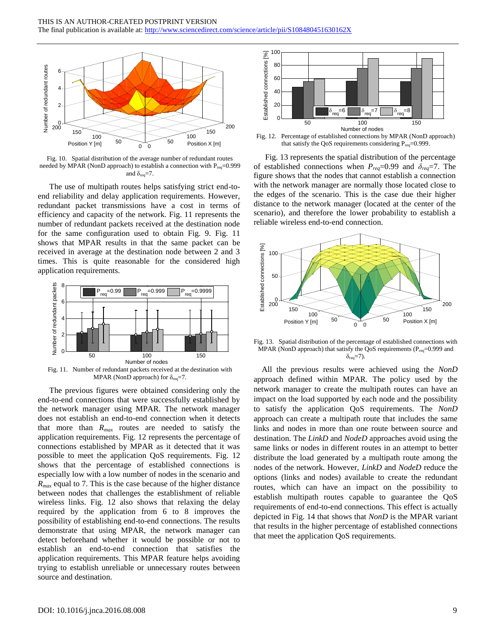

<span id="page-8-0"></span>Fig. 10. Spatial distribution of the average number of redundant routes needed by MPAR (NonD approach) to establish a connection with  $P_{\text{rea}}=0.999$ and  $\delta_{\text{req}} = 7$ .

The use of multipath routes helps satisfying strict end-toend reliability and delay application requirements. However, redundant packet transmissions have a cost in terms of efficiency and capacity of the network. [Fig. 11](#page-8-1) represents the number of redundant packets received at the destination node for the same configuration used to obtain [Fig. 9.](#page-7-4) [Fig. 11](#page-8-1) shows that MPAR results in that the same packet can be received in average at the destination node between 2 and 3 times. This is quite reasonable for the considered high application requirements.



<span id="page-8-1"></span>MPAR (NonD approach) for  $\delta_{\text{req}} = 7$ .

The previous figures were obtained considering only the end-to-end connections that were successfully established by the network manager using MPAR. The network manager does not establish an end-to-end connection when it detects that more than *Rmax* routes are needed to satisfy the application requirements. [Fig. 12](#page-8-2) represents the percentage of connections established by MPAR as it detected that it was possible to meet the application QoS requirements. [Fig. 12](#page-8-2) shows that the percentage of established connections is especially low with a low number of nodes in the scenario and *Rmax* equal to 7. This is the case because of the higher distance between nodes that challenges the establishment of reliable wireless links. [Fig. 12](#page-8-2) also shows that relaxing the delay required by the application from 6 to 8 improves the possibility of establishing end-to-end connections. The results demonstrate that using MPAR, the network manager can detect beforehand whether it would be possible or not to establish an end-to-end connection that satisfies the application requirements. This MPAR feature helps avoiding trying to establish unreliable or unnecessary routes between source and destination.



<span id="page-8-2"></span>Fig. 12. Percentage of established connections by MPAR (NonD approach) that satisfy the QoS requirements considering  $P_{\text{req}} = 0.999$ .

[Fig. 13](#page-8-3) represents the spatial distribution of the percentage of established connections when  $P_{req} = 0.99$  and  $\delta_{req} = 7$ . The figure shows that the nodes that cannot establish a connection with the network manager are normally those located close to the edges of the scenario. This is the case due their higher distance to the network manager (located at the center of the scenario), and therefore the lower probability to establish a reliable wireless end-to-end connection.



<span id="page-8-3"></span>Fig. 13. Spatial distribution of the percentage of established connections with MPAR (NonD approach) that satisfy the QoS requirements ( $P_{req}$ =0.999 and  $\delta_{\text{req}} = 7$ ).

All the previous results were achieved using the *NonD* approach defined within MPAR. The policy used by the network manager to create the multipath routes can have an impact on the load supported by each node and the possibility to satisfy the application QoS requirements. The *NonD* approach can create a multipath route that includes the same links and nodes in more than one route between source and destination. The *LinkD* and *NodeD* approaches avoid using the same links or nodes in different routes in an attempt to better distribute the load generated by a multipath route among the nodes of the network. However, *LinkD* and *NodeD* reduce the options (links and nodes) available to create the redundant routes, which can have an impact on the possibility to establish multipath routes capable to guarantee the QoS requirements of end-to-end connections. This effect is actually depicted in [Fig. 14](#page-9-0) that shows that *NonD* is the MPAR variant that results in the higher percentage of established connections that meet the application QoS requirements.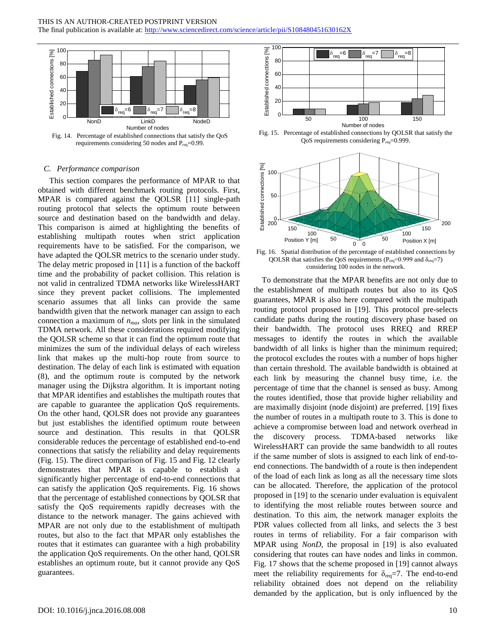

<span id="page-9-0"></span>requirements considering 50 nodes and P<sub>req</sub>=0.99.

#### *C. Performance comparison*

This section compares the performance of MPAR to that obtained with different benchmark routing protocols. First, MPAR is compared against the QOLSR [\[11\]](#page-11-10) single-path routing protocol that selects the optimum route between source and destination based on the bandwidth and delay. This comparison is aimed at highlighting the benefits of establishing multipath routes when strict application requirements have to be satisfied. For the comparison, we have adapted the QOLSR metrics to the scenario under study. The delay metric proposed in [\[11\]](#page-11-10) is a function of the backoff time and the probability of packet collision. This relation is not valid in centralized TDMA networks like WirelessHART since they prevent packet collisions. The implemented scenario assumes that all links can provide the same bandwidth given that the network manager can assign to each connection a maximum of *nmax* slots per link in the simulated TDMA network. All these considerations required modifying the QOLSR scheme so that it can find the optimum route that minimizes the sum of the individual delays of each wireless link that makes up the multi-hop route from source to destination. The delay of each link is estimated with equation (8), and the optimum route is computed by the network manager using the Dijkstra algorithm. It is important noting that MPAR identifies and establishes the multipath routes that are capable to guarantee the application QoS requirements. On the other hand, QOLSR does not provide any guarantees but just establishes the identified optimum route between source and destination. This results in that QOLSR considerable reduces the percentage of established end-to-end connections that satisfy the reliability and delay requirements [\(Fig. 15\)](#page-9-1). The direct comparison of [Fig. 15](#page-9-1) and [Fig. 12](#page-8-2) clearly demonstrates that MPAR is capable to establish a significantly higher percentage of end-to-end connections that can satisfy the application QoS requirements. [Fig. 16](#page-9-2) shows that the percentage of established connections by QOLSR that satisfy the QoS requirements rapidly decreases with the distance to the network manager. The gains achieved with MPAR are not only due to the establishment of multipath routes, but also to the fact that MPAR only establishes the routes that it estimates can guarantee with a high probability the application QoS requirements. On the other hand, QOLSR establishes an optimum route, but it cannot provide any QoS guarantees.



<span id="page-9-1"></span>Fig. 15. Percentage of established connections by QOLSR that satisfy the QoS requirements considering  $P_{req} = 0.999$ .



<span id="page-9-2"></span>Fig. 16. Spatial distribution of the percentage of established connections by QOLSR that satisfies the QoS requirements ( $P_{req}$ =0.999 and  $\delta_{req}$ =7) considering 100 nodes in the network.

To demonstrate that the MPAR benefits are not only due to the establishment of multipath routes but also to its QoS guarantees, MPAR is also here compared with the multipath routing protocol proposed in [\[19\].](#page-12-0) This protocol pre-selects candidate paths during the routing discovery phase based on their bandwidth. The protocol uses RREQ and RREP messages to identify the routes in which the available bandwidth of all links is higher than the minimum required; the protocol excludes the routes with a number of hops higher than certain threshold. The available bandwidth is obtained at each link by measuring the channel busy time, i.e. the percentage of time that the channel is sensed as busy. Among the routes identified, those that provide higher reliability and are maximally disjoint (node disjoint) are preferred. [\[19\]](#page-12-0) fixes the number of routes in a multipath route to 3. This is done to achieve a compromise between load and network overhead in the discovery process. TDMA-based networks like WirelessHART can provide the same bandwidth to all routes if the same number of slots is assigned to each link of end-toend connections. The bandwidth of a route is then independent of the load of each link as long as all the necessary time slots can be allocated. Therefore, the application of the protocol proposed in [\[19\]](#page-12-0) to the scenario under evaluation is equivalent to identifying the most reliable routes between source and destination. To this aim, the network manager exploits the PDR values collected from all links, and selects the 3 best routes in terms of reliability. For a fair comparison with MPAR using *NonD*, the proposal in [\[19\]](#page-12-0) is also evaluated considering that routes can have nodes and links in common. [Fig. 17](#page-10-0) shows that the scheme proposed in [\[19\]](#page-12-0) cannot always meet the reliability requirements for  $\delta_{\text{req}} = 7$ . The end-to-end reliability obtained does not depend on the reliability demanded by the application, but is only influenced by the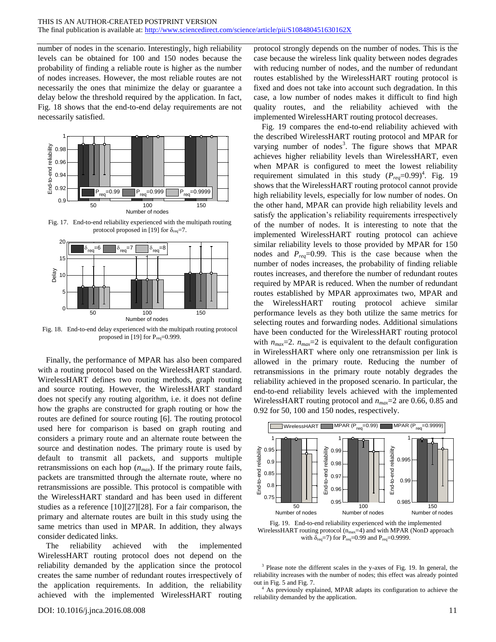number of nodes in the scenario. Interestingly, high reliability levels can be obtained for 100 and 150 nodes because the probability of finding a reliable route is higher as the number of nodes increases. However, the most reliable routes are not necessarily the ones that minimize the delay or guarantee a delay below the threshold required by the application. In fact, [Fig. 18](#page-10-1) shows that the end-to-end delay requirements are not necessarily satisfied.



<span id="page-10-0"></span>Fig. 17. End-to-end reliability experienced with the multipath routing protocol proposed i[n \[19\]](#page-12-0) for  $\delta_{\text{req}}$ =7.



<span id="page-10-1"></span>Fig. 18. End-to-end delay experienced with the multipath routing protocol proposed i[n \[19\]](#page-12-0) for  $P_{req} = 0.999$ .

Finally, the performance of MPAR has also been compared with a routing protocol based on the WirelessHART standard. WirelessHART defines two routing methods, graph routing and source routing. However, the WirelessHART standard does not specify any routing algorithm, i.e. it does not define does not specify any routing argorithm, i.e. it does not define<br>how the graphs are constructed for graph routing or how the<br>routes are defined for source routing [6]. The routing protocol<br>used here for comparison is based routes are defined for source routing [\[6\].](#page-11-5) The routing protocol used here for comparison is based on graph routing and considers a primary route and an alternate route between the source and destination nodes. The primary route is used by default to transmit all packets, and supports multiple retransmissions on each hop (*nmax*). If the primary route fails, packets are transmitted through the alternate route, where no retransmissions are possible. This protocol is compatible with the WirelessHART standard and has been used in different studies as a reference [\[10\]\[27\]](#page-11-8)[\[28\].](#page-12-8) For a fair comparison, the primary and alternate routes are built in this study using the same metrics than used in MPAR. In addition, they always consider dedicated links.

The reliability achieved with the implemented WirelessHART routing protocol does not depend on the reliability demanded by the application since the protocol creates the same number of redundant routes irrespectively of the application requirements. In addition, the reliability achieved with the implemented WirelessHART routing

protocol strongly depends on the number of nodes. This is the case because the wireless link quality between nodes degrades with reducing number of nodes, and the number of redundant routes established by the WirelessHART routing protocol is fixed and does not take into account such degradation. In this case, a low number of nodes makes it difficult to find high quality routes, and the reliability achieved with the implemented WirelessHART routing protocol decreases.

[Fig. 19](#page-10-2) compares the end-to-end reliability achieved with the described WirelessHART routing protocol and MPAR for varying number of nodes<sup>3</sup>. The figure shows that MPAR achieves higher reliability levels than WirelessHART, even when MPAR is configured to meet the lowest reliability requirement simulated in this study  $(P_{req} = 0.99)^4$ . [Fig. 19](#page-10-2) shows that the WirelessHART routing protocol cannot provide high reliability levels, especially for low number of nodes. On the other hand, MPAR can provide high reliability levels and satisfy the application's reliability requirements irrespectively of the number of nodes. It is interesting to note that the implemented WirelessHART routing protocol can achieve similar reliability levels to those provided by MPAR for 150 nodes and *Preq*=0.99. This is the case because when the number of nodes increases, the probability of finding reliable routes increases, and therefore the number of redundant routes required by MPAR is reduced. When the number of redundant routes established by MPAR approximates two, MPAR and the WirelessHART routing protocol achieve similar performance levels as they both utilize the same metrics for selecting routes and forwarding nodes. Additional simulations have been conducted for the WirelessHART routing protocol with  $n_{max}=2$ .  $n_{max}=2$  is equivalent to the default configuration in WirelessHART where only one retransmission per link is allowed in the primary route. Reducing the number of retransmissions in the primary route notably degrades the reliability achieved in the proposed scenario. In particular, the end-to-end reliability levels achieved with the implemented WirelessHART routing protocol and *nmax*=2 are 0.66, 0.85 and 0.92 for 50, 100 and 150 nodes, respectively.



<span id="page-10-2"></span>Fig. 19. End-to-end reliability experienced with the implemented WirelessHART routing protocol  $(n_{max}=4)$  and with MPAR (NonD approach with  $\delta_{\text{req}}$ =7) for P<sub>req</sub>=0.99 and P<sub>req</sub>=0.9999.

<sup>3</sup> Please note the different scales in the y-axes of [Fig. 19.](#page-10-2) In general, the reliability increases with the number of nodes; this effect was already pointed out i[n Fig. 5](#page-7-0) an[d Fig. 7.](#page-7-2)

<sup>4</sup> As previously explained, MPAR adapts its configuration to achieve the reliability demanded by the application.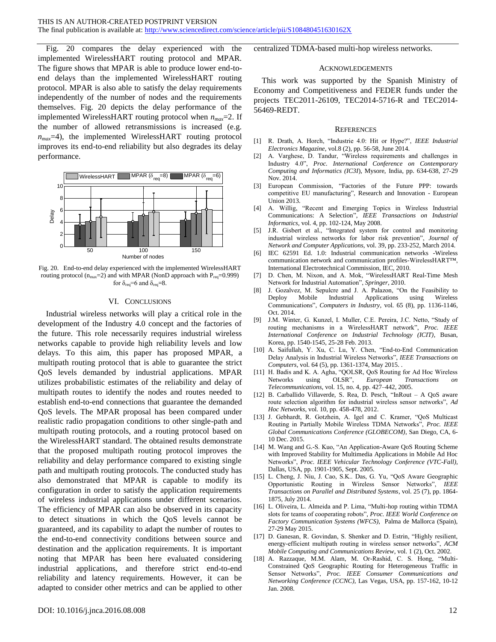[Fig. 20](#page-11-18) compares the delay experienced with the implemented WirelessHART routing protocol and MPAR. The figure shows that MPAR is able to produce lower end-toend delays than the implemented WirelessHART routing protocol. MPAR is also able to satisfy the delay requirements independently of the number of nodes and the requirements themselves. [Fig. 20](#page-11-18) depicts the delay performance of the implemented WirelessHART routing protocol when *nmax*=2. If the number of allowed retransmissions is increased (e.g. *nmax*=4), the implemented WirelessHART routing protocol improves its end-to-end reliability but also degrades its delay performance.



<span id="page-11-18"></span>Fig. 20. End-to-end delay experienced with the implemented WirelessHART routing protocol ( $n_{max}=2$ ) and with MPAR (NonD approach with  $P_{req}=0.999$ ) for  $\delta_{\text{req}} = 6$  and  $\delta_{\text{req}} = 8$ .

#### VI. CONCLUSIONS

Industrial wireless networks will play a critical role in the development of the Industry 4.0 concept and the factories of the future. This role necessarily requires industrial wireless networks capable to provide high reliability levels and low delays. To this aim, this paper has proposed MPAR, a multipath routing protocol that is able to guarantee the strict QoS levels demanded by industrial applications. MPAR utilizes probabilistic estimates of the reliability and delay of multipath routes to identify the nodes and routes needed to establish end-to-end connections that guarantee the demanded QoS levels. The MPAR proposal has been compared under realistic radio propagation conditions to other single-path and multipath routing protocols, and a routing protocol based on the WirelessHART standard. The obtained results demonstrate that the proposed multipath routing protocol improves the reliability and delay performance compared to existing single path and multipath routing protocols. The conducted study has also demonstrated that MPAR is capable to modify its configuration in order to satisfy the application requirements of wireless industrial applications under different scenarios. The efficiency of MPAR can also be observed in its capacity to detect situations in which the QoS levels cannot be guaranteed, and its capability to adapt the number of routes to the end-to-end connectivity conditions between source and destination and the application requirements. It is important noting that MPAR has been here evaluated considering industrial applications, and therefore strict end-to-end reliability and latency requirements. However, it can be adapted to consider other metrics and can be applied to other

centralized TDMA-based multi-hop wireless networks.

#### ACKNOWLEDGEMENTS

This work was supported by the Spanish Ministry of Economy and Competitiveness and FEDER funds under the projects TEC2011-26109, TEC2014-5716-R and TEC2014- 56469-REDT.

#### **REFERENCES**

- <span id="page-11-0"></span>[1] R. Drath, A. Horch, "Industrie 4.0: Hit or Hype?", *IEEE Industrial Electronics Magazine*, vol.8 (2), pp. 56-58, June 2014.
- <span id="page-11-1"></span>[2] A. Varghese, D. Tandur, "Wireless requirements and challenges in Industry 4.0", *Proc. International Conference on Contemporary Computing and Informatics (IC3I*), Mysore, India, pp. 634-638, 27-29 Nov. 2014.
- <span id="page-11-2"></span>[3] European Commission, "Factories of the Future PPP: towards competitive EU manufacturing", Research and Innovation - European Union 2013.
- <span id="page-11-3"></span>[4] A. Willig, "Recent and Emerging Topics in Wireless Industrial Communications: A Selection", *IEEE Transactions on Industrial Informatics*, vol. 4, pp. 102-124, May 2008.
- <span id="page-11-4"></span>[5] J.R. Gisbert et al., "Integrated system for control and monitoring industrial wireless networks for labor risk prevention", *Journal of Network and Computer Applications*, vol. 39, pp. 233-252, March 2014.
- <span id="page-11-5"></span>[6] IEC 62591 Ed. 1.0: Industrial communication networks -Wireless communication network and communication profiles-WirelessHART™, International Electrotechnical Commission, IEC, 2010.
- <span id="page-11-6"></span>[7] D. Chen, M. Nixon, and A. Mok, "WirelessHART Real-Time Mesh Network for Industrial Automation", *Springer*, 2010.
- <span id="page-11-7"></span>[8] J. Gozalvez, M. Sepulcre and J. A. Palazon, "On the Feasibility to Deploy Mobile Industrial Applications Communications", *Computers in Industry*, vol. 65 (8), pp. 1136-1146, Oct. 2014.
- <span id="page-11-9"></span>[9] J.M. Winter, G. Kunzel, I. Muller, C.E. Pereira, J.C. Netto, "Study of routing mechanisms in a WirelessHART network", *Proc. IEEE International Conference on Industrial Technology (ICIT)*, Busan, Korea, pp. 1540-1545, 25-28 Feb. 2013.
- <span id="page-11-8"></span>[10] A. Saifullah, Y. Xu, C. Lu, Y. Chen, "End-to-End Communication Delay Analysis in Industrial Wireless Networks", *IEEE Transactions on Computers*, vol. 64 (5), pp. 1361-1374, May 2015. .
- <span id="page-11-10"></span>[11] H. Badis and K. A. Agha, "QOLSR, QoS Routing for Ad Hoc Wireless<br>Networks using OLSR", *European Transactions on* Networks using OLSR", *European Transactions on Telecommunications*, vol. 15, no. 4, pp. 427–442, 2005.
- <span id="page-11-11"></span>[12] B. Carballido Villaverde, S. Rea, D. Pesch, "InRout – A QoS aware route selection algorithm for industrial wireless sensor networks", *Ad Hoc Networks*, vol. 10, pp. 458-478, 2012.
- <span id="page-11-12"></span>[13] J. Gebhardt, R. Gotzhein, A. Igel and C. Kramer, "QoS Multicast Routing in Partially Mobile Wireless TDMA Networks", *Proc. IEEE Global Communications Conference (GLOBECOM)*, San Diego, CA, 6- 10 Dec. 2015.
- <span id="page-11-13"></span>[14] M. Wang and G.-S. Kuo, "An Application-Aware QoS Routing Scheme with Improved Stability for Multimedia Applications in Mobile Ad Hoc Networks", *Proc. IEEE Vehicular Technology Conference (VTC-Fall)*, Dallas, USA, pp. 1901-1905, Sept. 2005.
- <span id="page-11-14"></span>[15] L. Cheng, J. Niu, J. Cao, S.K.. Das, G. Yu, "QoS Aware Geographic Opportunistic Routing in Wireless Sensor Networks", *IEEE Transactions on Parallel and Distributed Systems*, vol. 25 (7), pp. 1864- 1875, July 2014.
- <span id="page-11-15"></span>[16] L. Oliveira, L. Almeida and P. Lima, "Multi-hop routing within TDMA slots for teams of cooperating robots", *Proc. IEEE World Conference on Factory Communication Systems (WFCS)*, Palma de Mallorca (Spain), 27-29 May 2015.
- <span id="page-11-16"></span>[17] D. Ganesan, R. Govindan, S. Shenker and D. Estrin, "Highly resilient, energy-efficient multipath routing in wireless sensor networks", *ACM Mobile Computing and Communications Review*, vol. 1 (2), Oct. 2002.
- <span id="page-11-17"></span>[18] A. Razzaque, M.M. Alam, M. Or-Rashid, C. S. Hong, "Multi-Constrained QoS Geographic Routing for Heterogeneous Traffic in Sensor Networks", *Proc. IEEE Consumer Communications and Networking Conference (CCNC)*, Las Vegas, USA, pp. 157-162, 10-12 Jan. 2008.